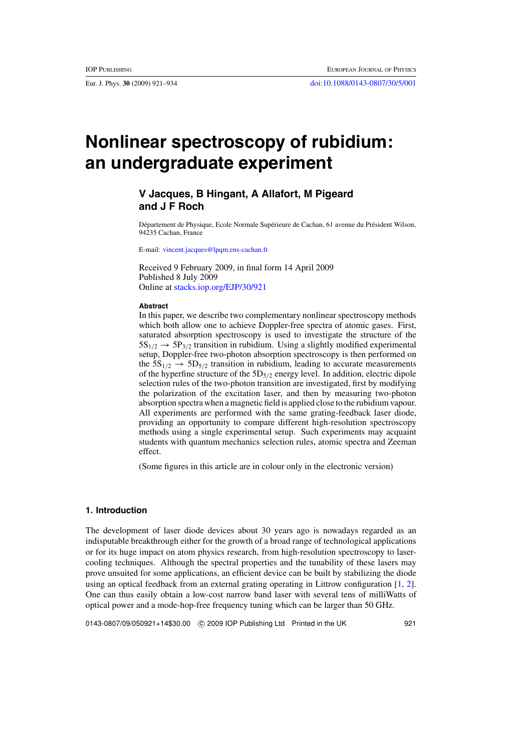# **Nonlinear spectroscopy of rubidium: an undergraduate experiment**

# **V Jacques, B Hingant, A Allafort, M Pigeard and J F Roch**

Département de Physique, Ecole Normale Supérieure de Cachan, 61 avenue du Président Wilson, 94235 Cachan, France

E-mail: [vincent.jacques@lpqm.ens-cachan.fr](mailto:vincent.jacques@lpqm.ens-cachan.fr)

Received 9 February 2009, in final form 14 April 2009 Published 8 July 2009 Online at [stacks.iop.org/EJP/30/921](http://stacks.iop.org/EJP/30/921)

#### **Abstract**

In this paper, we describe two complementary nonlinear spectroscopy methods which both allow one to achieve Doppler-free spectra of atomic gases. First, saturated absorption spectroscopy is used to investigate the structure of the  $5S_{1/2} \rightarrow 5P_{3/2}$  transition in rubidium. Using a slightly modified experimental setup, Doppler-free two-photon absorption spectroscopy is then performed on the  $5S_{1/2} \rightarrow 5D_{5/2}$  transition in rubidium, leading to accurate measurements of the hyperfine structure of the  $5D_{5/2}$  energy level. In addition, electric dipole selection rules of the two-photon transition are investigated, first by modifying the polarization of the excitation laser, and then by measuring two-photon absorption spectra when a magnetic field is applied close to the rubidium vapour. All experiments are performed with the same grating-feedback laser diode, providing an opportunity to compare different high-resolution spectroscopy methods using a single experimental setup. Such experiments may acquaint students with quantum mechanics selection rules, atomic spectra and Zeeman effect.

(Some figures in this article are in colour only in the electronic version)

#### **1. Introduction**

The development of laser diode devices about 30 years ago is nowadays regarded as an indisputable breakthrough either for the growth of a broad range of technological applications or for its huge impact on atom physics research, from high-resolution spectroscopy to lasercooling techniques. Although the spectral properties and the tunability of these lasers may prove unsuited for some applications, an efficient device can be built by stabilizing the diode using an optical feedback from an external grating operating in Littrow configuration [\[1](#page-12-0), [2\]](#page-12-0). One can thus easily obtain a low-cost narrow band laser with several tens of milliWatts of optical power and a mode-hop-free frequency tuning which can be larger than 50 GHz.

0143-0807/09/050921+14\$30.00 !<sup>c</sup> 2009 IOP Publishing Ltd Printed in the UK 921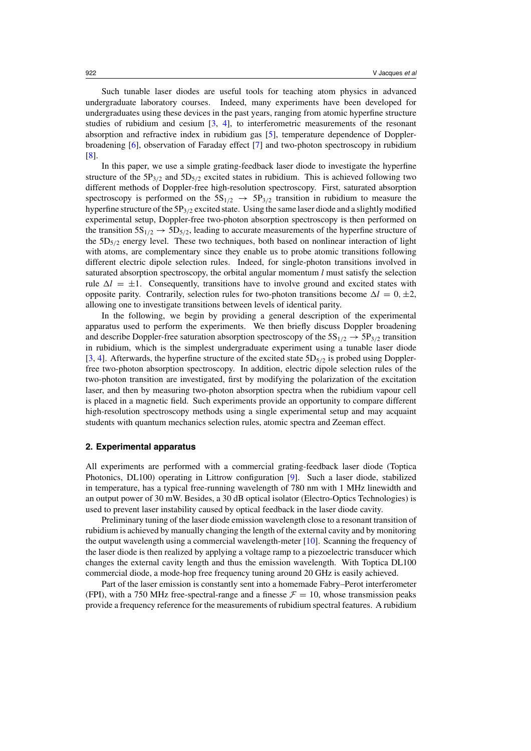Such tunable laser diodes are useful tools for teaching atom physics in advanced undergraduate laboratory courses. Indeed, many experiments have been developed for undergraduates using these devices in the past years, ranging from atomic hyperfine structure studies of rubidium and cesium [\[3,](#page-12-0) [4](#page-12-0)], to interferometric measurements of the resonant absorption and refractive index in rubidium gas [\[5\]](#page-12-0), temperature dependence of Dopplerbroadening [\[6](#page-12-0)], observation of Faraday effect [\[7](#page-12-0)] and two-photon spectroscopy in rubidium [\[8](#page-12-0)].

In this paper, we use a simple grating-feedback laser diode to investigate the hyperfine structure of the  $5P_{3/2}$  and  $5D_{5/2}$  excited states in rubidium. This is achieved following two different methods of Doppler-free high-resolution spectroscopy. First, saturated absorption spectroscopy is performed on the  $5S_{1/2} \rightarrow 5P_{3/2}$  transition in rubidium to measure the hyperfine structure of the  $5P_{3/2}$  excited state. Using the same laser diode and a slightly modified experimental setup, Doppler-free two-photon absorption spectroscopy is then performed on the transition  $5S_{1/2} \rightarrow 5D_{5/2}$ , leading to accurate measurements of the hyperfine structure of the  $5D_{5/2}$  energy level. These two techniques, both based on nonlinear interaction of light with atoms, are complementary since they enable us to probe atomic transitions following different electric dipole selection rules. Indeed, for single-photon transitions involved in saturated absorption spectroscopy, the orbital angular momentum *l* must satisfy the selection rule  $\Delta l = \pm 1$ . Consequently, transitions have to involve ground and excited states with opposite parity. Contrarily, selection rules for two-photon transitions become  $\Delta l = 0, \pm 2$ , allowing one to investigate transitions between levels of identical parity.

In the following, we begin by providing a general description of the experimental apparatus used to perform the experiments. We then briefly discuss Doppler broadening and describe Doppler-free saturation absorption spectroscopy of the  $5S_{1/2} \rightarrow 5P_{3/2}$  transition in rubidium, which is the simplest undergraduate experiment using a tunable laser diode [\[3](#page-12-0), [4](#page-12-0)]. Afterwards, the hyperfine structure of the excited state  $5D_{5/2}$  is probed using Dopplerfree two-photon absorption spectroscopy. In addition, electric dipole selection rules of the two-photon transition are investigated, first by modifying the polarization of the excitation laser, and then by measuring two-photon absorption spectra when the rubidium vapour cell is placed in a magnetic field. Such experiments provide an opportunity to compare different high-resolution spectroscopy methods using a single experimental setup and may acquaint students with quantum mechanics selection rules, atomic spectra and Zeeman effect.

# **2. Experimental apparatus**

All experiments are performed with a commercial grating-feedback laser diode (Toptica Photonics, DL100) operating in Littrow configuration [\[9](#page-12-0)]. Such a laser diode, stabilized in temperature, has a typical free-running wavelength of 780 nm with 1 MHz linewidth and an output power of 30 mW. Besides, a 30 dB optical isolator (Electro-Optics Technologies) is used to prevent laser instability caused by optical feedback in the laser diode cavity.

Preliminary tuning of the laser diode emission wavelength close to a resonant transition of rubidium is achieved by manually changing the length of the external cavity and by monitoring the output wavelength using a commercial wavelength-meter [\[10](#page-12-0)]. Scanning the frequency of the laser diode is then realized by applying a voltage ramp to a piezoelectric transducer which changes the external cavity length and thus the emission wavelength. With Toptica DL100 commercial diode, a mode-hop free frequency tuning around 20 GHz is easily achieved.

Part of the laser emission is constantly sent into a homemade Fabry–Perot interferometer (FPI), with a 750 MHz free-spectral-range and a finesse  $\mathcal{F} = 10$ , whose transmission peaks provide a frequency reference for the measurements of rubidium spectral features. A rubidium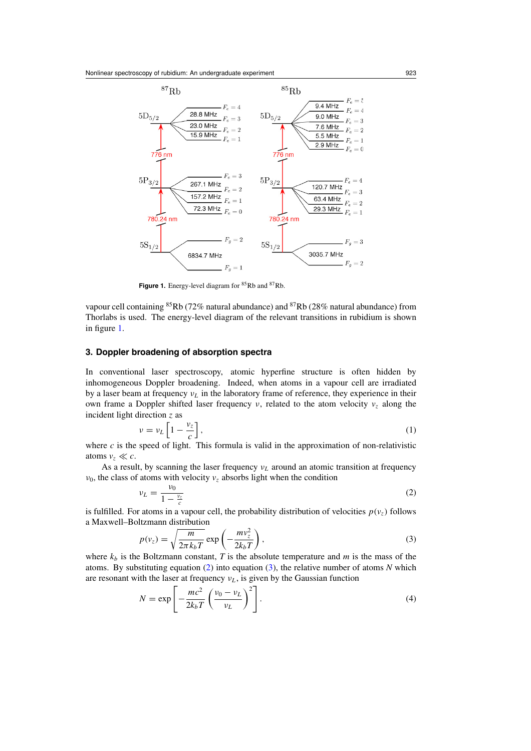<span id="page-2-0"></span>

**Figure 1.** Energy-level diagram for <sup>85</sup>Rb and <sup>87</sup>Rb.

vapour cell containing 85Rb (72% natural abundance) and 87Rb (28% natural abundance) from Thorlabs is used. The energy-level diagram of the relevant transitions in rubidium is shown in figure 1.

# **3. Doppler broadening of absorption spectra**

In conventional laser spectroscopy, atomic hyperfine structure is often hidden by inhomogeneous Doppler broadening. Indeed, when atoms in a vapour cell are irradiated by a laser beam at frequency  $v<sub>L</sub>$  in the laboratory frame of reference, they experience in their own frame a Doppler shifted laser frequency  $v$ , related to the atom velocity  $v<sub>z</sub>$  along the incident light direction z as

$$
\nu = \nu_L \left[ 1 - \frac{\nu_z}{c} \right],\tag{1}
$$

where  $c$  is the speed of light. This formula is valid in the approximation of non-relativistic atoms  $v_z \ll c$ .

As a result, by scanning the laser frequency  $v_L$  around an atomic transition at frequency  $v_0$ , the class of atoms with velocity  $v_z$  absorbs light when the condition

$$
\nu_L = \frac{\nu_0}{1 - \frac{\nu_z}{c}}\tag{2}
$$

is fulfilled. For atoms in a vapour cell, the probability distribution of velocities  $p(v<sub>z</sub>)$  follows a Maxwell–Boltzmann distribution

$$
p(v_z) = \sqrt{\frac{m}{2\pi k_b T}} \exp\left(-\frac{mv_z^2}{2k_b T}\right),\tag{3}
$$

where  $k_b$  is the Boltzmann constant, *T* is the absolute temperature and *m* is the mass of the atoms. By substituting equation (2) into equation (3), the relative number of atoms *N* which are resonant with the laser at frequency  $v_L$ , is given by the Gaussian function

$$
N = \exp\left[-\frac{mc^2}{2k_bT}\left(\frac{\nu_0 - \nu_L}{\nu_L}\right)^2\right].
$$
 (4)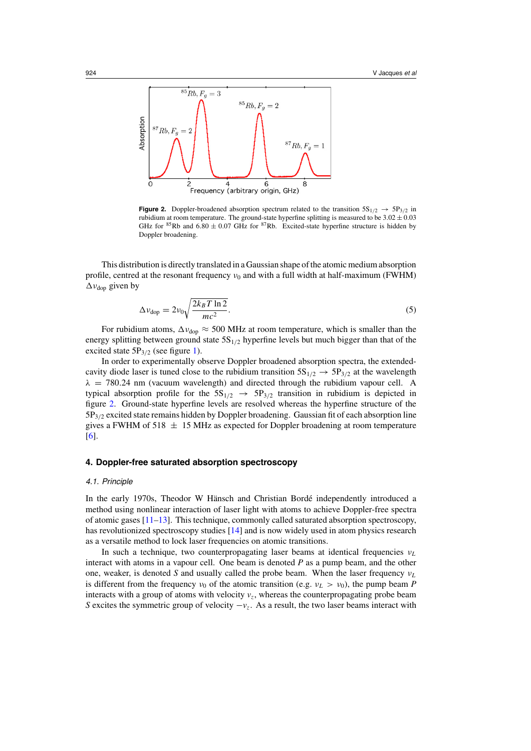<span id="page-3-0"></span>

**Figure 2.** Doppler-broadened absorption spectrum related to the transition  $5S_{1/2} \rightarrow 5P_{3/2}$  in rubidium at room temperature. The ground-state hyperfine splitting is measured to be  $3.02 \pm 0.03$ GHz for <sup>85</sup>Rb and  $6.80 \pm 0.07$  GHz for <sup>87</sup>Rb. Excited-state hyperfine structure is hidden by Doppler broadening.

This distribution is directly translated in a Gaussian shape of the atomic medium absorption profile, centred at the resonant frequency  $v_0$  and with a full width at half-maximum (FWHM)  $\Delta v_{\rm dop}$  given by

$$
\Delta v_{\rm dop} = 2v_0 \sqrt{\frac{2k_B T \ln 2}{mc^2}}.
$$
\n(5)

For rubidium atoms,  $\Delta v_{\rm dop} \approx 500 \text{ MHz}$  at room temperature, which is smaller than the energy splitting between ground state  $5S<sub>1/2</sub>$  hyperfine levels but much bigger than that of the excited state  $5P_{3/2}$  (see figure [1\)](#page-2-0).

In order to experimentally observe Doppler broadened absorption spectra, the extendedcavity diode laser is tuned close to the rubidium transition  $5S_{1/2} \rightarrow 5P_{3/2}$  at the wavelength  $\lambda$  = 780.24 nm (vacuum wavelength) and directed through the rubidium vapour cell. A typical absorption profile for the  $5S_{1/2} \rightarrow 5P_{3/2}$  transition in rubidium is depicted in figure 2. Ground-state hyperfine levels are resolved whereas the hyperfine structure of the  $5P_{3/2}$  excited state remains hidden by Doppler broadening. Gaussian fit of each absorption line gives a FWHM of 518  $\pm$  15 MHz as expected for Doppler broadening at room temperature [\[6](#page-12-0)].

# **4. Doppler-free saturated absorption spectroscopy**

#### 4.1. Principle

In the early 1970s, Theodor W Hänsch and Christian Bordé independently introduced a method using nonlinear interaction of laser light with atoms to achieve Doppler-free spectra of atomic gases [\[11–13](#page-12-0)]. This technique, commonly called saturated absorption spectroscopy, has revolutionized spectroscopy studies [\[14](#page-12-0)] and is now widely used in atom physics research as a versatile method to lock laser frequencies on atomic transitions.

In such a technique, two counterpropagating laser beams at identical frequencies  $v_L$ interact with atoms in a vapour cell. One beam is denoted *P* as a pump beam, and the other one, weaker, is denoted *S* and usually called the probe beam. When the laser frequency  $v_L$ is different from the frequency  $v_0$  of the atomic transition (e.g.  $v_L > v_0$ ), the pump beam *P* interacts with a group of atoms with velocity  $v<sub>z</sub>$ , whereas the counterpropagating probe beam *S* excites the symmetric group of velocity  $-v_z$ . As a result, the two laser beams interact with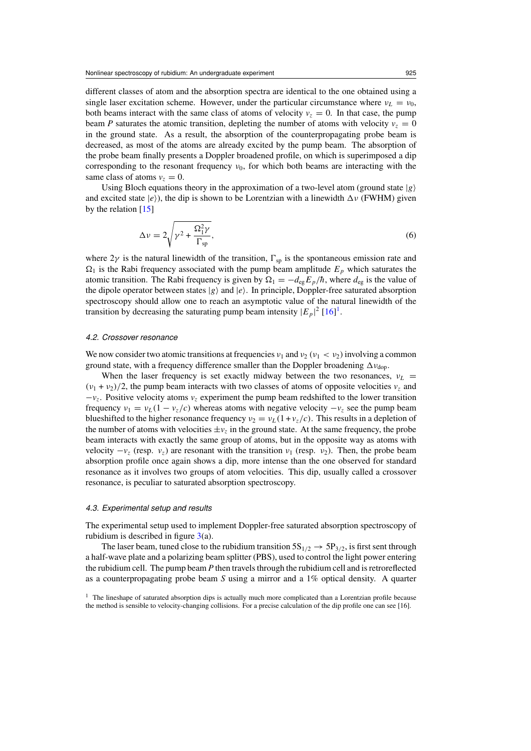<span id="page-4-0"></span>different classes of atom and the absorption spectra are identical to the one obtained using a single laser excitation scheme. However, under the particular circumstance where  $v_L = v_0$ , both beams interact with the same class of atoms of velocity  $v<sub>z</sub> = 0$ . In that case, the pump beam *P* saturates the atomic transition, depleting the number of atoms with velocity  $v<sub>z</sub> = 0$ in the ground state. As a result, the absorption of the counterpropagating probe beam is decreased, as most of the atoms are already excited by the pump beam. The absorption of the probe beam finally presents a Doppler broadened profile, on which is superimposed a dip corresponding to the resonant frequency  $v_0$ , for which both beams are interacting with the same class of atoms  $v_z = 0$ .

Using Bloch equations theory in the approximation of a two-level atom (ground state  $|g\rangle$ ) and excited state  $|e\rangle$ ), the dip is shown to be Lorentzian with a linewidth  $\Delta v$  (FWHM) given by the relation [\[15](#page-12-0)]

$$
\Delta \nu = 2 \sqrt{\gamma^2 + \frac{\Omega_1^2 \gamma}{\Gamma_{\rm sp}}},\tag{6}
$$

where  $2\gamma$  is the natural linewidth of the transition,  $\Gamma_{sp}$  is the spontaneous emission rate and  $\Omega_1$  is the Rabi frequency associated with the pump beam amplitude  $E_p$  which saturates the atomic transition. The Rabi frequency is given by  $\Omega_1 = -d_{eg}E_p/\hbar$ , where  $d_{eg}$  is the value of the dipole operator between states  $|g\rangle$  and  $|e\rangle$ . In principle, Doppler-free saturated absorption spectroscopy should allow one to reach an asymptotic value of the natural linewidth of the transition by decreasing the saturating pump beam intensity  $|E_p|^2$  [\[16\]](#page-12-0)<sup>1</sup>.

# 4.2. Crossover resonance

We now consider two atomic transitions at frequencies  $v_1$  and  $v_2$  ( $v_1 < v_2$ ) involving a common ground state, with a frequency difference smaller than the Doppler broadening  $\Delta v_{\rm don}$ .

When the laser frequency is set exactly midway between the two resonances,  $v_L$  =  $(v_1 + v_2)/2$ , the pump beam interacts with two classes of atoms of opposite velocities  $v_z$  and −*v*z. Positive velocity atoms *v*<sup>z</sup> experiment the pump beam redshifted to the lower transition frequency  $v_1 = v_L(1 - v_z/c)$  whereas atoms with negative velocity  $-v_z$  see the pump beam blueshifted to the higher resonance frequency  $v_2 = v_L(1 + v_z/c)$ . This results in a depletion of the number of atoms with velocities  $\pm v_z$  in the ground state. At the same frequency, the probe beam interacts with exactly the same group of atoms, but in the opposite way as atoms with velocity  $-v_z$  (resp.  $v_z$ ) are resonant with the transition  $v_1$  (resp.  $v_2$ ). Then, the probe beam absorption profile once again shows a dip, more intense than the one observed for standard resonance as it involves two groups of atom velocities. This dip, usually called a crossover resonance, is peculiar to saturated absorption spectroscopy.

#### 4.3. Experimental setup and results

The experimental setup used to implement Doppler-free saturated absorption spectroscopy of rubidium is described in figure  $3(a)$  $3(a)$ .

The laser beam, tuned close to the rubidium transition  $5S_{1/2} \rightarrow 5P_{3/2}$ , is first sent through a half-wave plate and a polarizing beam splitter (PBS), used to control the light power entering the rubidium cell. The pump beam *P* then travels through the rubidium cell and is retroreflected as a counterpropagating probe beam *S* using a mirror and a 1% optical density. A quarter

 $<sup>1</sup>$  The lineshape of saturated absorption dips is actually much more complicated than a Lorentzian profile because</sup> the method is sensible to velocity-changing collisions. For a precise calculation of the dip profile one can see [16].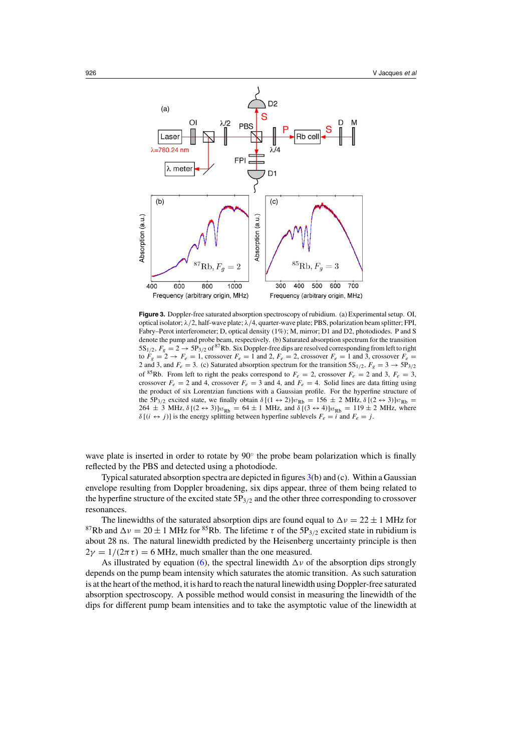<span id="page-5-0"></span>

**Figure 3.** Doppler-free saturated absorption spectroscopy of rubidium. (a) Experimental setup. OI, optical isolator;  $\lambda/2$ , half-wave plate;  $\lambda/4$ , quarter-wave plate; PBS, polarization beam splitter; FPI, Fabry–Perot interferometer; D, optical density (1%); M, mirror; D1 and D2, photodiodes. P and S denote the pump and probe beam, respectively. (b) Saturated absorption spectrum for the transition  $5S_{1/2}$ ,  $F_g = 2 \rightarrow 5P_{3/2}$  of <sup>87</sup>Rb. Six Doppler-free dips are resolved corresponding from left to right to  $F_g = 2 \rightarrow F_e = 1$ , crossover  $F_e = 1$  and 2,  $F_e = 2$ , crossover  $F_e = 1$  and 3, crossover  $F_e = 1$ 2 and 3, and  $F_e = 3$ . (c) Saturated absorption spectrum for the transition  $5S_{1/2}$ ,  $F_g = 3 \rightarrow 5P_{3/2}$ of <sup>85</sup>Rb. From left to right the peaks correspond to  $F_e = 2$ , crossover  $F_e = 2$  and 3,  $F_e = 3$ , crossover  $F_e = 2$  and 4, crossover  $F_e = 3$  and 4, and  $F_e = 4$ . Solid lines are data fitting using the product of six Lorentzian functions with a Gaussian profile. For the hyperfine structure of the 5P<sub>3/2</sub> excited state, we finally obtain  $\delta$  [(1  $\leftrightarrow$  2)] $_{87Rb}$  = 156  $\pm$  2 MHz,  $\delta$  [(2  $\leftrightarrow$  3)] $_{87Rb}$  = 264  $\pm$  3 MHz,  $\delta$  [(2  $\leftrightarrow$  3)]ss<sub>Rb</sub> = 64  $\pm$  1 MHz, and  $\delta$  [(3  $\leftrightarrow$  4)]ss<sub>Rb</sub> = 119  $\pm$  2 MHz, where  $\delta$  [( $i \leftrightarrow j$ )] is the energy splitting between hyperfine sublevels  $F_e = i$  and  $F_e = j$ .

wave plate is inserted in order to rotate by 90◦ the probe beam polarization which is finally reflected by the PBS and detected using a photodiode.

Typical saturated absorption spectra are depicted in figures  $3(b)$  and (c). Within a Gaussian envelope resulting from Doppler broadening, six dips appear, three of them being related to the hyperfine structure of the excited state  $5P_{3/2}$  and the other three corresponding to crossover resonances.

The linewidths of the saturated absorption dips are found equal to  $\Delta v = 22 \pm 1$  MHz for <sup>87</sup>Rb and  $\Delta v = 20 \pm 1$  MHz for <sup>85</sup>Rb. The lifetime  $\tau$  of the 5P<sub>3/2</sub> excited state in rubidium is about 28 ns. The natural linewidth predicted by the Heisenberg uncertainty principle is then  $2\gamma = 1/(2\pi \tau) = 6$  MHz, much smaller than the one measured.

As illustrated by equation [\(6\)](#page-4-0), the spectral linewidth  $\Delta v$  of the absorption dips strongly depends on the pump beam intensity which saturates the atomic transition. As such saturation is at the heart of the method, it is hard to reach the natural linewidth using Doppler-free saturated absorption spectroscopy. A possible method would consist in measuring the linewidth of the dips for different pump beam intensities and to take the asymptotic value of the linewidth at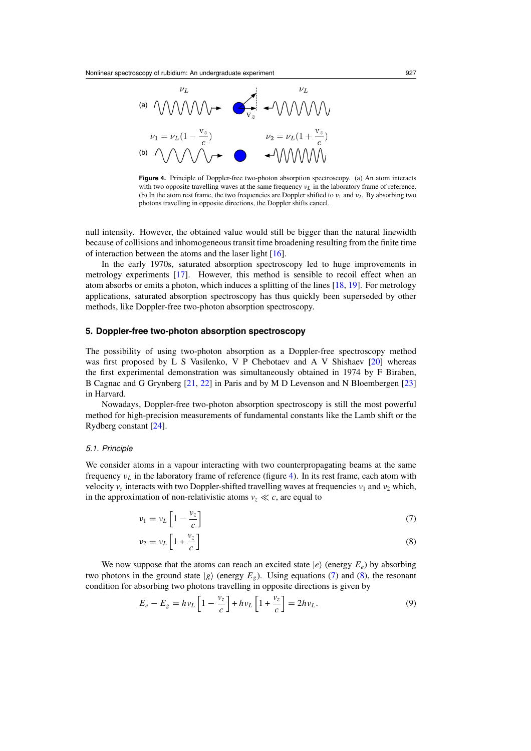<span id="page-6-0"></span>Nonlinear spectroscopy of rubidium: An undergraduate experiment 927



**Figure 4.** Principle of Doppler-free two-photon absorption spectroscopy. (a) An atom interacts with two opposite travelling waves at the same frequency  $v_L$  in the laboratory frame of reference. (b) In the atom rest frame, the two frequencies are Doppler shifted to  $v_1$  and  $v_2$ . By absorbing two photons travelling in opposite directions, the Doppler shifts cancel.

null intensity. However, the obtained value would still be bigger than the natural linewidth because of collisions and inhomogeneous transit time broadening resulting from the finite time of interaction between the atoms and the laser light [\[16](#page-12-0)].

In the early 1970s, saturated absorption spectroscopy led to huge improvements in metrology experiments [\[17](#page-12-0)]. However, this method is sensible to recoil effect when an atom absorbs or emits a photon, which induces a splitting of the lines [\[18](#page-12-0), [19](#page-12-0)]. For metrology applications, saturated absorption spectroscopy has thus quickly been superseded by other methods, like Doppler-free two-photon absorption spectroscopy.

# **5. Doppler-free two-photon absorption spectroscopy**

The possibility of using two-photon absorption as a Doppler-free spectroscopy method was first proposed by L S Vasilenko, V P Chebotaev and A V Shishaev [\[20\]](#page-12-0) whereas the first experimental demonstration was simultaneously obtained in 1974 by F Biraben, B Cagnac and G Grynberg [\[21](#page-12-0), [22\]](#page-12-0) in Paris and by M D Levenson and N Bloembergen [\[23](#page-12-0)] in Harvard.

Nowadays, Doppler-free two-photon absorption spectroscopy is still the most powerful method for high-precision measurements of fundamental constants like the Lamb shift or the Rydberg constant [\[24\]](#page-13-0).

#### 5.1. Principle

We consider atoms in a vapour interacting with two counterpropagating beams at the same frequency  $v_L$  in the laboratory frame of reference (figure 4). In its rest frame, each atom with velocity  $v_z$  interacts with two Doppler-shifted travelling waves at frequencies  $v_1$  and  $v_2$  which, in the approximation of non-relativistic atoms  $v_z \ll c$ , are equal to

$$
v_1 = v_L \left[ 1 - \frac{v_z}{c} \right] \tag{7}
$$

$$
\nu_2 = \nu_L \left[ 1 + \frac{\nu_z}{c} \right] \tag{8}
$$

We now suppose that the atoms can reach an excited state  $|e\rangle$  (energy  $E_e$ ) by absorbing two photons in the ground state  $|g\rangle$  (energy  $E_g$ ). Using equations (7) and (8), the resonant condition for absorbing two photons travelling in opposite directions is given by

$$
E_e - E_g = h\nu_L \left[ 1 - \frac{\nu_z}{c} \right] + h\nu_L \left[ 1 + \frac{\nu_z}{c} \right] = 2h\nu_L.
$$
 (9)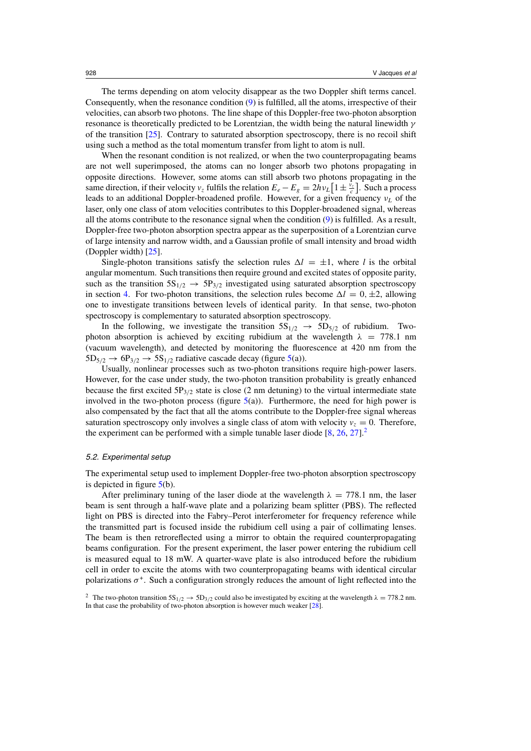The terms depending on atom velocity disappear as the two Doppler shift terms cancel. Consequently, when the resonance condition [\(9\)](#page-6-0) is fulfilled, all the atoms, irrespective of their velocities, can absorb two photons. The line shape of this Doppler-free two-photon absorption resonance is theoretically predicted to be Lorentzian, the width being the natural linewidth  $\gamma$ of the transition [\[25](#page-13-0)]. Contrary to saturated absorption spectroscopy, there is no recoil shift using such a method as the total momentum transfer from light to atom is null.

When the resonant condition is not realized, or when the two counterpropagating beams are not well superimposed, the atoms can no longer absorb two photons propagating in opposite directions. However, some atoms can still absorb two photons propagating in the same direction, if their velocity  $v_z$  fulfils the relation  $E_e - E_g = 2hv_L[1 \pm \frac{\tilde{v}_z}{c}]$ . Such a process leads to an additional Doppler-broadened profile. However, for a given frequency  $v_L$  of the laser, only one class of atom velocities contributes to this Doppler-broadened signal, whereas all the atoms contribute to the resonance signal when the condition  $(9)$  is fulfilled. As a result, Doppler-free two-photon absorption spectra appear as the superposition of a Lorentzian curve of large intensity and narrow width, and a Gaussian profile of small intensity and broad width (Doppler width) [\[25](#page-13-0)].

Single-photon transitions satisfy the selection rules  $\Delta l = \pm 1$ , where *l* is the orbital angular momentum. Such transitions then require ground and excited states of opposite parity, such as the transition  $5S_{1/2} \rightarrow 5P_{3/2}$  investigated using saturated absorption spectroscopy in section [4.](#page-3-0) For two-photon transitions, the selection rules become  $\Delta l = 0, \pm 2$ , allowing one to investigate transitions between levels of identical parity. In that sense, two-photon spectroscopy is complementary to saturated absorption spectroscopy.

In the following, we investigate the transition  $5S_{1/2} \rightarrow 5D_{5/2}$  of rubidium. Twophoton absorption is achieved by exciting rubidium at the wavelength  $\lambda = 778.1$  nm (vacuum wavelength), and detected by monitoring the fluorescence at 420 nm from the  $5D_{5/2} \rightarrow 6P_{3/2} \rightarrow 5S_{1/2}$  radiative cascade decay (figure [5\(](#page-8-0)a)).

Usually, nonlinear processes such as two-photon transitions require high-power lasers. However, for the case under study, the two-photon transition probability is greatly enhanced because the first excited  $5P_{3/2}$  state is close (2 nm detuning) to the virtual intermediate state involved in the two-photon process (figure  $5(a)$  $5(a)$ ). Furthermore, the need for high power is also compensated by the fact that all the atoms contribute to the Doppler-free signal whereas saturation spectroscopy only involves a single class of atom with velocity  $v_z = 0$ . Therefore, the experiment can be performed with a simple tunable laser diode  $[8, 26, 27]$  $[8, 26, 27]$  $[8, 26, 27]$  $[8, 26, 27]$  $[8, 26, 27]$  $[8, 26, 27]$ .

# 5.2. Experimental setup

The experimental setup used to implement Doppler-free two-photon absorption spectroscopy is depicted in figure [5\(](#page-8-0)b).

After preliminary tuning of the laser diode at the wavelength  $\lambda = 778.1$  nm, the laser beam is sent through a half-wave plate and a polarizing beam splitter (PBS). The reflected light on PBS is directed into the Fabry–Perot interferometer for frequency reference while the transmitted part is focused inside the rubidium cell using a pair of collimating lenses. The beam is then retroreflected using a mirror to obtain the required counterpropagating beams configuration. For the present experiment, the laser power entering the rubidium cell is measured equal to 18 mW. A quarter-wave plate is also introduced before the rubidium cell in order to excite the atoms with two counterpropagating beams with identical circular polarizations  $\sigma^+$ . Such a configuration strongly reduces the amount of light reflected into the

<sup>&</sup>lt;sup>2</sup> The two-photon transition  $5S_{1/2} \rightarrow 5D_{3/2}$  could also be investigated by exciting at the wavelength  $\lambda = 778.2$  nm. In that case the probability of two-photon absorption is however much weaker [\[28](#page-13-0)].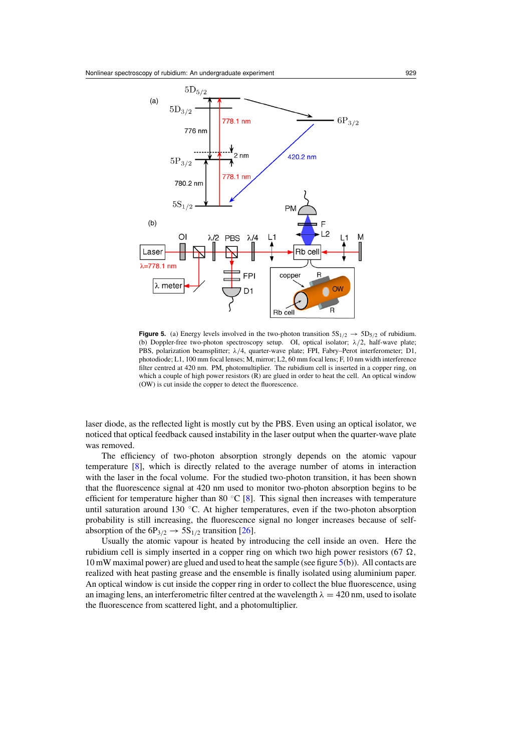<span id="page-8-0"></span>

**Figure 5.** (a) Energy levels involved in the two-photon transition  $5S_{1/2} \rightarrow 5D_{5/2}$  of rubidium. (b) Doppler-free two-photon spectroscopy setup. OI, optical isolator;  $\lambda/2$ , half-wave plate; PBS, polarization beamsplitter;  $\lambda/4$ , quarter-wave plate; FPI, Fabry–Perot interferometer; D1, photodiode; L1, 100 mm focal lenses; M, mirror; L2, 60 mm focal lens; F, 10 nm width interference filter centred at 420 nm. PM, photomultiplier. The rubidium cell is inserted in a copper ring, on which a couple of high power resistors  $(R)$  are glued in order to heat the cell. An optical window (OW) is cut inside the copper to detect the fluorescence.

laser diode, as the reflected light is mostly cut by the PBS. Even using an optical isolator, we noticed that optical feedback caused instability in the laser output when the quarter-wave plate was removed.

The efficiency of two-photon absorption strongly depends on the atomic vapour temperature [\[8](#page-12-0)], which is directly related to the average number of atoms in interaction with the laser in the focal volume. For the studied two-photon transition, it has been shown that the fluorescence signal at 420 nm used to monitor two-photon absorption begins to be efficient for temperature higher than 80  $°C$  [\[8](#page-12-0)]. This signal then increases with temperature until saturation around 130 ◦C. At higher temperatures, even if the two-photon absorption probability is still increasing, the fluorescence signal no longer increases because of selfabsorption of the  $6P_{3/2} \rightarrow 5S_{1/2}$  transition [\[26\]](#page-13-0).

Usually the atomic vapour is heated by introducing the cell inside an oven. Here the rubidium cell is simply inserted in a copper ring on which two high power resistors (67  $\Omega$ , 10 mW maximal power) are glued and used to heat the sample (see figure 5(b)). All contacts are realized with heat pasting grease and the ensemble is finally isolated using aluminium paper. An optical window is cut inside the copper ring in order to collect the blue fluorescence, using an imaging lens, an interferometric filter centred at the wavelength  $\lambda = 420$  nm, used to isolate the fluorescence from scattered light, and a photomultiplier.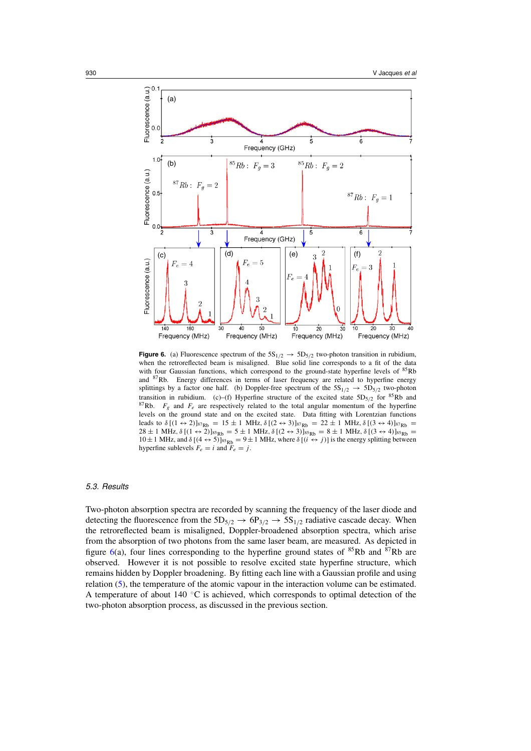<span id="page-9-0"></span>

**Figure 6.** (a) Fluorescence spectrum of the  $5S_{1/2} \rightarrow 5D_{5/2}$  two-photon transition in rubidium, when the retroreflected beam is misaligned. Blue solid line corresponds to a fit of the data with four Gaussian functions, which correspond to the ground-state hyperfine levels of <sup>85</sup>Rb and 87Rb. Energy differences in terms of laser frequency are related to hyperfine energy splittings by a factor one half. (b) Doppler-free spectrum of the  $5S_{1/2} \rightarrow 5D_{5/2}$  two-photon transition in rubidium. (c)–(f) Hyperfine structure of the excited state  $5D_{5/2}$  for <sup>85</sup>Rb and transition in rubidium. (c)–(f) Hyperfine structure of the excited state  $5D_{5/2}$  for  $85Rb$  and  $F_e$  are respectively related to the total angular momentum of the hyperfine levels on the ground state and on the excited state. Data fitting with Lorentzian functions leads to  $\delta [(1 \leftrightarrow 2)]_{87}$ <sub>Rb</sub> = 15 ± 1 MHz,  $\delta [(2 \leftrightarrow 3)]_{87}$ <sub>Rb</sub> = 22 ± 1 MHz,  $\delta [(3 \leftrightarrow 4)]_{87}$ <sub>Rb</sub> =  $28 \pm 1$  MHz,  $\delta [(1 \leftrightarrow 2)]_{85}$ <sub>Rb</sub> = 5  $\pm 1$  MHz,  $\delta [(2 \leftrightarrow 3)]_{85}$ <sub>Rb</sub> = 8  $\pm 1$  MHz,  $\delta [(3 \leftrightarrow 4)]_{85}$ <sub>Rb</sub> =  $10 \pm 1$  MHz, and  $\delta$  [(4  $\leftrightarrow$  5)] $_{85\text{Rb}} = 9 \pm 1$  MHz, where  $\delta$  [( $i \leftrightarrow j$ )] is the energy splitting between hyperfine sublevels  $F_e = i$  and  $F_e = j$ .

# 5.3. Results

Two-photon absorption spectra are recorded by scanning the frequency of the laser diode and detecting the fluorescence from the  $5D_{5/2} \rightarrow 6P_{3/2} \rightarrow 5S_{1/2}$  radiative cascade decay. When the retroreflected beam is misaligned, Doppler-broadened absorption spectra, which arise from the absorption of two photons from the same laser beam, are measured. As depicted in figure 6(a), four lines corresponding to the hyperfine ground states of  $85Rb$  and  $87Rb$  are observed. However it is not possible to resolve excited state hyperfine structure, which remains hidden by Doppler broadening. By fitting each line with a Gaussian profile and using relation [\(5\)](#page-3-0), the temperature of the atomic vapour in the interaction volume can be estimated. A temperature of about 140  $\degree$ C is achieved, which corresponds to optimal detection of the two-photon absorption process, as discussed in the previous section.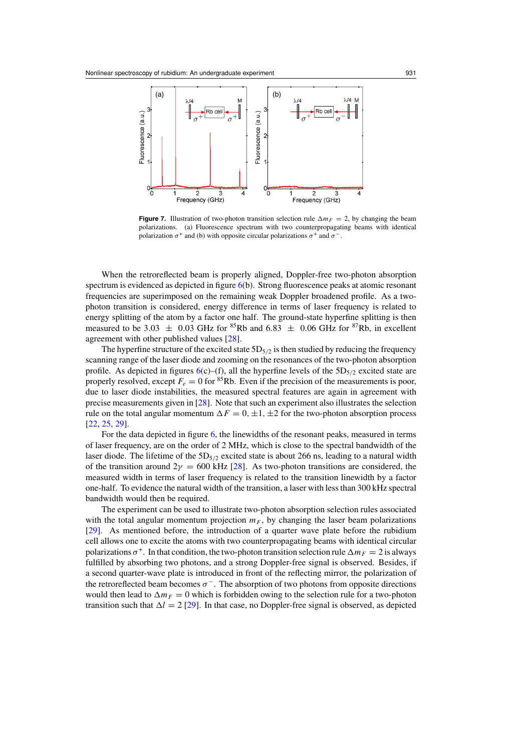<span id="page-10-0"></span>

**Figure 7.** Illustration of two-photon transition selection rule  $\Delta m_F = 2$ , by changing the beam polarizations. (a) Fluorescence spectrum with two counterpropagating beams with identical polarization  $\sigma^+$  and (b) with opposite circular polarizations  $\sigma^+$  and  $\sigma^-$ .

When the retroreflected beam is properly aligned, Doppler-free two-photon absorption spectrum is evidenced as depicted in figure [6\(](#page-9-0)b). Strong fluorescence peaks at atomic resonant frequencies are superimposed on the remaining weak Doppler broadened profile. As a twophoton transition is considered, energy difference in terms of laser frequency is related to energy splitting of the atom by a factor one half. The ground-state hyperfine splitting is then measured to be 3.03  $\pm$  0.03 GHz for <sup>85</sup>Rb and 6.83  $\pm$  0.06 GHz for <sup>87</sup>Rb, in excellent agreement with other published values [\[28](#page-13-0)].

The hyperfine structure of the excited state  $5D_{5/2}$  is then studied by reducing the frequency scanning range of the laser diode and zooming on the resonances of the two-photon absorption profile. As depicted in figures  $6(c)$  $6(c)$ –(f), all the hyperfine levels of the  $5D_{5/2}$  excited state are properly resolved, except  $F_e = 0$  for <sup>85</sup>Rb. Even if the precision of the measurements is poor, due to laser diode instabilities, the measured spectral features are again in agreement with precise measurements given in [\[28](#page-13-0)]. Note that such an experiment also illustrates the selection rule on the total angular momentum  $\Delta F = 0, \pm 1, \pm 2$  for the two-photon absorption process [\[22](#page-12-0), [25](#page-13-0), [29](#page-13-0)].

For the data depicted in figure [6,](#page-9-0) the linewidths of the resonant peaks, measured in terms of laser frequency, are on the order of 2 MHz, which is close to the spectral bandwidth of the laser diode. The lifetime of the  $5D_{5/2}$  excited state is about 266 ns, leading to a natural width of the transition around  $2\gamma = 600$  kHz [\[28](#page-13-0)]. As two-photon transitions are considered, the measured width in terms of laser frequency is related to the transition linewidth by a factor one-half. To evidence the natural width of the transition, a laser with less than 300 kHz spectral bandwidth would then be required.

The experiment can be used to illustrate two-photon absorption selection rules associated with the total angular momentum projection  $m_F$ , by changing the laser beam polarizations [\[29](#page-13-0)]. As mentioned before, the introduction of a quarter wave plate before the rubidium cell allows one to excite the atoms with two counterpropagating beams with identical circular polarizations  $\sigma^+$ . In that condition, the two-photon transition selection rule  $\Delta m_F = 2$  is always fulfilled by absorbing two photons, and a strong Doppler-free signal is observed. Besides, if a second quarter-wave plate is introduced in front of the reflecting mirror, the polarization of the retroreflected beam becomes  $\sigma^-$ . The absorption of two photons from opposite directions would then lead to  $\Delta m_F = 0$  which is forbidden owing to the selection rule for a two-photon transition such that  $\Delta l = 2$  [\[29\]](#page-13-0). In that case, no Doppler-free signal is observed, as depicted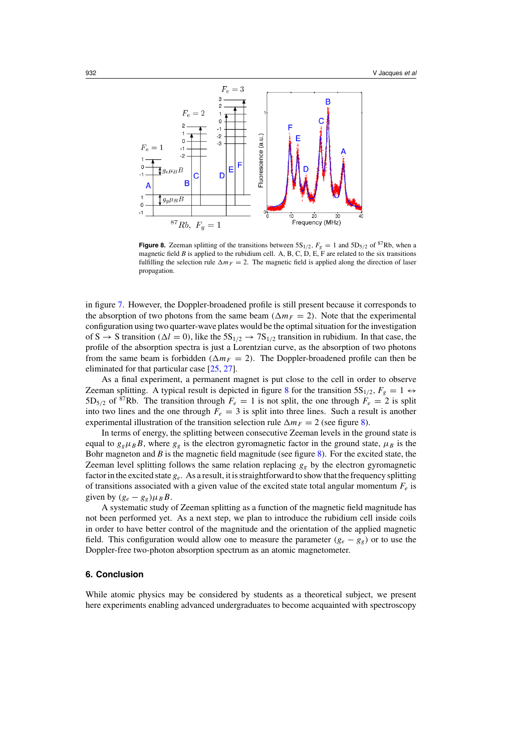

**Figure 8.** Zeeman splitting of the transitions between  $5S_{1/2}$ ,  $F_g = 1$  and  $5D_{5/2}$  of <sup>87</sup>Rb, when a magnetic field *B* is applied to the rubidium cell. A, B, C, D, E, F are related to the six transitions fulfilling the selection rule  $\Delta m_F = 2$ . The magnetic field is applied along the direction of laser propagation.

in figure [7.](#page-10-0) However, the Doppler-broadened profile is still present because it corresponds to the absorption of two photons from the same beam ( $\Delta m_F = 2$ ). Note that the experimental configuration using two quarter-wave plates would be the optimal situation for the investigation of S  $\rightarrow$  S transition ( $\Delta l = 0$ ), like the 5S<sub>1/2</sub>  $\rightarrow$  7S<sub>1/2</sub> transition in rubidium. In that case, the profile of the absorption spectra is just a Lorentzian curve, as the absorption of two photons from the same beam is forbidden ( $\Delta m_F = 2$ ). The Doppler-broadened profile can then be eliminated for that particular case [\[25,](#page-13-0) [27\]](#page-13-0).

As a final experiment, a permanent magnet is put close to the cell in order to observe Zeeman splitting. A typical result is depicted in figure 8 for the transition  $5S_{1/2}$ ,  $F_g = 1 \leftrightarrow$  $5D_{5/2}$  of <sup>87</sup>Rb. The transition through  $F_e = 1$  is not split, the one through  $F_e = 2$  is split into two lines and the one through  $F_e = 3$  is split into three lines. Such a result is another experimental illustration of the transition selection rule  $\Delta m_F = 2$  (see figure 8).

In terms of energy, the splitting between consecutive Zeeman levels in the ground state is equal to  $g_g\mu_B B$ , where  $g_g$  is the electron gyromagnetic factor in the ground state,  $\mu_B$  is the Bohr magneton and *B* is the magnetic field magnitude (see figure 8). For the excited state, the Zeeman level splitting follows the same relation replacing  $g_g$  by the electron gyromagnetic factor in the excited state  $g_e$ . As a result, it is straightforward to show that the frequency splitting of transitions associated with a given value of the excited state total angular momentum  $F_e$  is given by  $(g_e - g_g) \mu_B B$ .

A systematic study of Zeeman splitting as a function of the magnetic field magnitude has not been performed yet. As a next step, we plan to introduce the rubidium cell inside coils in order to have better control of the magnitude and the orientation of the applied magnetic field. This configuration would allow one to measure the parameter  $(g_e - g_g)$  or to use the Doppler-free two-photon absorption spectrum as an atomic magnetometer.

### **6. Conclusion**

While atomic physics may be considered by students as a theoretical subject, we present here experiments enabling advanced undergraduates to become acquainted with spectroscopy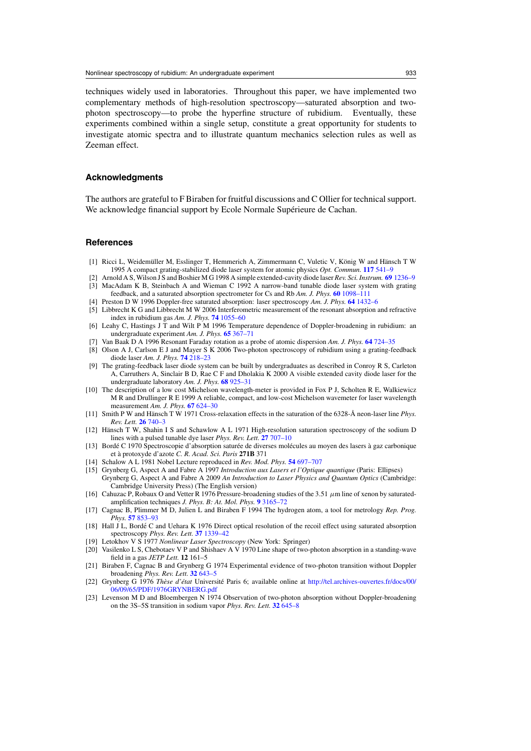<span id="page-12-0"></span>techniques widely used in laboratories. Throughout this paper, we have implemented two complementary methods of high-resolution spectroscopy—saturated absorption and twophoton spectroscopy—to probe the hyperfine structure of rubidium. Eventually, these experiments combined within a single setup, constitute a great opportunity for students to investigate atomic spectra and to illustrate quantum mechanics selection rules as well as Zeeman effect.

# **Acknowledgments**

The authors are grateful to F Biraben for fruitful discussions and C Ollier for technical support. We acknowledge financial support by Ecole Normale Supérieure de Cachan.

# **References**

- [1] Ricci L, Weidemüller M, Esslinger T, Hemmerich A, Zimmermann C, Vuletic V, König W and Hänsch T W 1995 A compact grating-stabilized diode laser system for atomic physics *Opt. Commun.* **117** [541–9](http://dx.doi.org/10.1016/0030-4018(95)00146-Y)
- [2] Arnold A S, Wilson J S and Boshier M G 1998 A simple extended-cavity diode laser *Rev. Sci. Instrum.* **69** [1236–9](http://dx.doi.org/10.1063/1.1148756) [3] MacAdam K B, Steinbach A and Wieman C 1992 A narrow-band tunable diode laser system with grating
- feedback, and a saturated absorption spectrometer for Cs and Rb *Am. J. Phys.* **60** [1098–111](http://dx.doi.org/10.1119/1.16955) [4] Preston D W 1996 Doppler-free saturated absorption: laser spectroscopy *Am. J. Phys.* **64** [1432–6](http://dx.doi.org/10.1119/1.18457)
- [5] Libbrecht K G and Libbrecht M W 2006 Interferometric measurement of the resonant absorption and refractive index in rubidium gas *Am. J. Phys.* **74** [1055–60](http://dx.doi.org/10.1119/1.2335476)
- [6] Leahy C, Hastings J T and Wilt P M 1996 Temperature dependence of Doppler-broadening in rubidium: an undergraduate experiment *Am. J. Phys.* **65** [367–71](http://dx.doi.org/10.1119/1.18553)
- [7] Van Baak D A 1996 Resonant Faraday rotation as a probe of atomic dispersion *Am. J. Phys.* **64** [724–35](http://dx.doi.org/10.1119/1.18356)
- [8] Olson A J, Carlson E J and Mayer S K 2006 Two-photon spectroscopy of rubidium using a grating-feedback diode laser *Am. J. Phys.* **74** [218–23](http://dx.doi.org/10.1119/1.2173278)
- [9] The grating-feedback laser diode system can be built by undergraduates as described in Conroy R S, Carleton A, Carruthers A, Sinclair B D, Rae C F and Dholakia K 2000 A visible extended cavity diode laser for the undergraduate laboratory *Am. J. Phys.* **68** [925–31](http://dx.doi.org/10.1119/1.1285896)
- [10] The description of a low cost Michelson wavelength-meter is provided in Fox P J, Scholten R E, Walkiewicz M R and Drullinger R E 1999 A reliable, compact, and low-cost Michelson wavemeter for laser wavelength measurement *Am. J. Phys.* **67** [624–30](http://dx.doi.org/10.1119/1.19335)
- [11] Smith P W and Hänsch T W 1971 Cross-relaxation effects in the saturation of the 6328-Å neon-laser line *Phys. Rev. Lett.* **26** [740–3](http://dx.doi.org/10.1103/PhysRevLett.26.740)
- [12] Hänsch T W, Shahin I S and Schawlow A L 1971 High-resolution saturation spectroscopy of the sodium D lines with a pulsed tunable dye laser *Phys. Rev. Lett.* **27** [707–10](http://dx.doi.org/10.1103/PhysRevLett.27.707)
- $[13]$  Bordé C 1970 Spectroscopie d'absorption saturée de diverses molécules au moyen des lasers à gaz carbonique et a protoxyde d'azote ` *C. R. Acad. Sci. Paris* **271B** 371
- [14] Schalow A L 1981 Nobel Lecture reproduced in *Rev. Mod. Phys.* **54** [697–707](http://dx.doi.org/10.1103/RevModPhys.54.697)
- [15] Grynberg G, Aspect A and Fabre A 1997 *Introduction aux Lasers et l'Optique quantique* (Paris: Ellipses) Grynberg G, Aspect A and Fabre A 2009 *An Introduction to Laser Physics and Quantum Optics* (Cambridge: Cambridge University Press) (The English version)
- [16] Cahuzac P, Robaux O and Vetter R 1976 Pressure-broadening studies of the 3.51  $\mu$ m line of xenon by saturatedamplification techniques *J. Phys. B: At. Mol. Phys.* **9** [3165–72](http://dx.doi.org/10.1088/0022-3700/9/18/008)
- [17] Cagnac B, Plimmer M D, Julien L and Biraben F 1994 The hydrogen atom, a tool for metrology *Rep. Prog. Phys.* **57** [853–93](http://dx.doi.org/10.1088/0034-4885/57/9/001)
- [18] Hall  $J$  L, Bordé C and Uehara K 1976 Direct optical resolution of the recoil effect using saturated absorption spectroscopy *Phys. Rev. Lett.* **37** [1339–42](http://dx.doi.org/10.1103/PhysRevLett.37.1339)
- [19] Letokhov V S 1977 *Nonlinear Laser Spectroscopy* (New York: Springer)
- [20] Vasilenko L S, Chebotaev V P and Shishaev A V 1970 Line shape of two-photon absorption in a standing-wave field in a gas *JETP Lett.* **12** 161–5
- [21] Biraben F, Cagnac B and Grynberg G 1974 Experimental evidence of two-photon transition without Doppler broadening *Phys. Rev. Lett.* **32** [643–5](http://dx.doi.org/10.1103/PhysRevLett.32.643)
- [22] Grynberg G 1976 Thèse d'état Université Paris 6; available online at [http://tel.archives-ouvertes.fr/docs/00/](http://tel.archives-ouvertes.fr/docs/00/06/09/65/PDF/1976GRYNBERG.pdf) [06/09/65/PDF/1976GRYNBERG.pdf](http://tel.archives-ouvertes.fr/docs/00/06/09/65/PDF/1976GRYNBERG.pdf)
- [23] Levenson M D and Bloembergen N 1974 Observation of two-photon absorption without Doppler-broadening on the 3S–5S transition in sodium vapor *Phys. Rev. Lett.* **32** [645–8](http://dx.doi.org/10.1103/PhysRevLett.32.645)